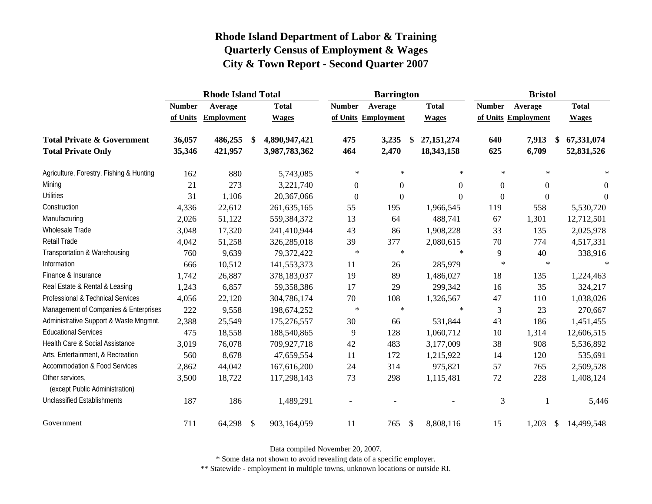|                                                   |               | <b>Rhode Island Total</b> |            |               | <b>Barrington</b> |                     |                         | <b>Bristol</b> |               |                     |     |              |
|---------------------------------------------------|---------------|---------------------------|------------|---------------|-------------------|---------------------|-------------------------|----------------|---------------|---------------------|-----|--------------|
|                                                   | <b>Number</b> | Average                   |            | <b>Total</b>  | <b>Number</b>     | Average             |                         | <b>Total</b>   | <b>Number</b> | Average             |     | <b>Total</b> |
|                                                   | of Units      | <b>Employment</b>         |            | <b>Wages</b>  |                   | of Units Employment |                         | <b>Wages</b>   |               | of Units Employment |     | <b>Wages</b> |
| <b>Total Private &amp; Government</b>             | 36,057        | 486,255                   | -\$        | 4,890,947,421 | 475               | 3,235               | \$                      | 27,151,274     | 640           | 7,913               |     | 67,331,074   |
| <b>Total Private Only</b>                         | 35,346        | 421,957                   |            | 3,987,783,362 | 464               | 2,470               |                         | 18,343,158     | 625           | 6,709               |     | 52,831,526   |
| Agriculture, Forestry, Fishing & Hunting          | 162           | 880                       |            | 5,743,085     | $\star$           | $\ast$              |                         | $\ast$         | $\ast$        | $\ast$              |     | $\ast$       |
| Mining                                            | 21            | 273                       |            | 3,221,740     | $\overline{0}$    | $\mathbf{0}$        |                         | $\theta$       | $\theta$      | $\boldsymbol{0}$    |     | $\theta$     |
| <b>Utilities</b>                                  | 31            | 1,106                     |            | 20,367,066    | $\mathbf{0}$      | $\boldsymbol{0}$    |                         | $\theta$       | $\Omega$      | $\mathbf{0}$        |     | $\theta$     |
| Construction                                      | 4,336         | 22,612                    |            | 261, 635, 165 | 55                | 195                 |                         | 1,966,545      | 119           | 558                 |     | 5,530,720    |
| Manufacturing                                     | 2,026         | 51,122                    |            | 559,384,372   | 13                | 64                  |                         | 488,741        | 67            | 1,301               |     | 12,712,501   |
| <b>Wholesale Trade</b>                            | 3,048         | 17,320                    |            | 241,410,944   | 43                | 86                  |                         | 1,908,228      | 33            | 135                 |     | 2,025,978    |
| Retail Trade                                      | 4,042         | 51,258                    |            | 326,285,018   | 39                | 377                 |                         | 2,080,615      | 70            | 774                 |     | 4,517,331    |
| Transportation & Warehousing                      | 760           | 9,639                     |            | 79,372,422    | $\ast$            | $\ast$              |                         | $\star$        | 9             | 40                  |     | 338,916      |
| Information                                       | 666           | 10,512                    |            | 141,553,373   | 11                | 26                  |                         | 285,979        | $\ast$        | $\ast$              |     | $\ast$       |
| Finance & Insurance                               | 1,742         | 26,887                    |            | 378,183,037   | 19                | 89                  |                         | 1,486,027      | 18            | 135                 |     | 1,224,463    |
| Real Estate & Rental & Leasing                    | 1,243         | 6,857                     |            | 59,358,386    | 17                | 29                  |                         | 299,342        | 16            | 35                  |     | 324,217      |
| Professional & Technical Services                 | 4,056         | 22,120                    |            | 304,786,174   | 70                | 108                 |                         | 1,326,567      | 47            | 110                 |     | 1,038,026    |
| Management of Companies & Enterprises             | 222           | 9,558                     |            | 198,674,252   | $\ast$            | $\ast$              |                         | $\ast$         | 3             | 23                  |     | 270,667      |
| Administrative Support & Waste Mngmnt.            | 2,388         | 25,549                    |            | 175,276,557   | 30                | 66                  |                         | 531,844        | 43            | 186                 |     | 1,451,455    |
| <b>Educational Services</b>                       | 475           | 18,558                    |            | 188,540,865   | 9                 | 128                 |                         | 1,060,712      | 10            | 1,314               |     | 12,606,515   |
| Health Care & Social Assistance                   | 3,019         | 76,078                    |            | 709,927,718   | 42                | 483                 |                         | 3,177,009      | 38            | 908                 |     | 5,536,892    |
| Arts, Entertainment, & Recreation                 | 560           | 8,678                     |            | 47,659,554    | 11                | 172                 |                         | 1,215,922      | 14            | 120                 |     | 535,691      |
| <b>Accommodation &amp; Food Services</b>          | 2,862         | 44,042                    |            | 167,616,200   | 24                | 314                 |                         | 975,821        | 57            | 765                 |     | 2,509,528    |
| Other services,<br>(except Public Administration) | 3,500         | 18,722                    |            | 117,298,143   | 73                | 298                 |                         | 1,115,481      | 72            | 228                 |     | 1,408,124    |
| <b>Unclassified Establishments</b>                | 187           | 186                       |            | 1,489,291     |                   |                     |                         |                | 3             |                     |     | 5,446        |
| Government                                        | 711           | 64,298                    | $\sqrt{3}$ | 903,164,059   | 11                | 765                 | $\sqrt[6]{\frac{1}{2}}$ | 8,808,116      | 15            | 1,203               | -\$ | 14,499,548   |

Data compiled November 20, 2007.

\* Some data not shown to avoid revealing data of a specific employer.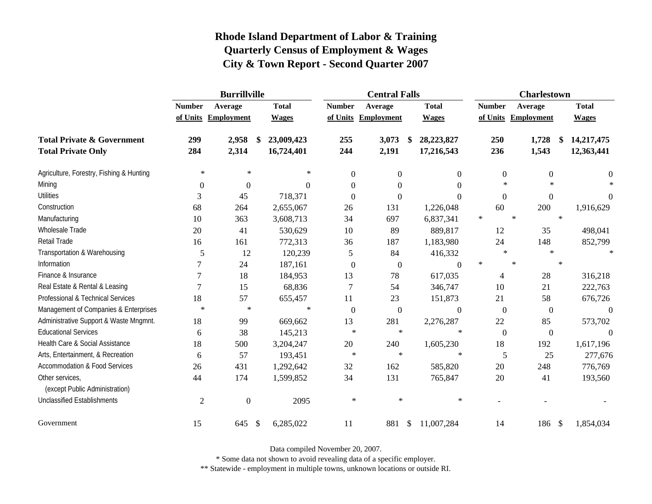|                                                   | <b>Burrillville</b> |                     |                           |              | <b>Central Falls</b> |                     |    |                  |        | <b>Charlestown</b> |                     |                  |  |              |
|---------------------------------------------------|---------------------|---------------------|---------------------------|--------------|----------------------|---------------------|----|------------------|--------|--------------------|---------------------|------------------|--|--------------|
|                                                   | <b>Number</b>       | Average             |                           | <b>Total</b> | <b>Number</b>        | Average             |    | <b>Total</b>     |        | <b>Number</b>      | Average             |                  |  | <b>Total</b> |
|                                                   |                     | of Units Employment |                           | <b>Wages</b> |                      | of Units Employment |    | <b>Wages</b>     |        |                    | of Units Employment |                  |  | <b>Wages</b> |
| <b>Total Private &amp; Government</b>             | 299                 | 2,958               | -\$                       | 23,009,423   | 255                  | 3,073               | \$ | 28,223,827       |        | 250                |                     | 1,728<br>\$      |  | 14,217,475   |
| <b>Total Private Only</b>                         | 284                 | 2,314               |                           | 16,724,401   | 244                  | 2,191               |    | 17,216,543       |        | 236                |                     | 1,543            |  | 12,363,441   |
| Agriculture, Forestry, Fishing & Hunting          | $\ast$              | $\ast$              |                           | $\ast$       | $\overline{0}$       | $\boldsymbol{0}$    |    | $\boldsymbol{0}$ |        | $\boldsymbol{0}$   |                     | $\boldsymbol{0}$ |  | $\mathbf{0}$ |
| Mining                                            | $\overline{0}$      | $\boldsymbol{0}$    |                           | $\Omega$     | $\Omega$             | $\Omega$            |    | $\Omega$         |        | $\ast$             |                     | $\ast$           |  | $\ast$       |
| <b>Utilities</b>                                  | 3                   | 45                  |                           | 718,371      | $\Omega$             | $\boldsymbol{0}$    |    | $\Omega$         |        | $\boldsymbol{0}$   |                     | $\boldsymbol{0}$ |  | $\theta$     |
| Construction                                      | 68                  | 264                 |                           | 2,655,067    | 26                   | 131                 |    | 1,226,048        |        | 60                 |                     | 200              |  | 1,916,629    |
| Manufacturing                                     | 10                  | 363                 |                           | 3,608,713    | 34                   | 697                 |    | 6,837,341        | $\ast$ |                    | $\ast$              | $\ast$           |  |              |
| Wholesale Trade                                   | 20                  | 41                  |                           | 530,629      | 10                   | 89                  |    | 889,817          |        | 12                 |                     | 35               |  | 498,041      |
| Retail Trade                                      | 16                  | 161                 |                           | 772,313      | 36                   | 187                 |    | 1,183,980        |        | 24                 |                     | 148              |  | 852,799      |
| Transportation & Warehousing                      | 5                   | 12                  |                           | 120,239      | 5                    | 84                  |    | 416,332          |        | $\ast$             |                     | $\ast$           |  | $\ast$       |
| Information                                       |                     | 24                  |                           | 187,161      | $\boldsymbol{0}$     | $\boldsymbol{0}$    |    | $\Omega$         | $\ast$ |                    | $\ast$              | $\ast$           |  |              |
| Finance & Insurance                               |                     | 18                  |                           | 184,953      | 13                   | 78                  |    | 617,035          |        | 4                  |                     | 28               |  | 316,218      |
| Real Estate & Rental & Leasing                    | 7                   | 15                  |                           | 68,836       | 7                    | 54                  |    | 346,747          |        | 10                 |                     | 21               |  | 222,763      |
| Professional & Technical Services                 | 18                  | 57                  |                           | 655,457      | 11                   | 23                  |    | 151,873          |        | 21                 |                     | 58               |  | 676,726      |
| Management of Companies & Enterprises             | $\ast$              | $\ast$              |                           | $\ast$       | $\mathbf{0}$         | $\mathbf{0}$        |    | $\overline{0}$   |        | $\overline{0}$     |                     | $\boldsymbol{0}$ |  | $\theta$     |
| Administrative Support & Waste Mngmnt.            | 18                  | 99                  |                           | 669,662      | 13                   | 281                 |    | 2,276,287        |        | 22                 |                     | 85               |  | 573,702      |
| <b>Educational Services</b>                       | 6                   | 38                  |                           | 145,213      | $\ast$               | $\ast$              |    | $\ast$           |        | $\overline{0}$     |                     | $\boldsymbol{0}$ |  | $\Omega$     |
| Health Care & Social Assistance                   | 18                  | 500                 |                           | 3,204,247    | 20                   | 240                 |    | 1,605,230        |        | 18                 |                     | 192              |  | 1,617,196    |
| Arts, Entertainment, & Recreation                 | 6                   | 57                  |                           | 193,451      | $\ast$               | $\ast$              |    | $\ast$           |        | 5                  |                     | 25               |  | 277,676      |
| Accommodation & Food Services                     | 26                  | 431                 |                           | 1,292,642    | 32                   | 162                 |    | 585,820          |        | 20                 |                     | 248              |  | 776,769      |
| Other services,<br>(except Public Administration) | 44                  | 174                 |                           | 1,599,852    | 34                   | 131                 |    | 765,847          |        | 20                 |                     | 41               |  | 193,560      |
| <b>Unclassified Establishments</b>                | $\overline{2}$      | $\boldsymbol{0}$    |                           | 2095         | $\ast$               | $\ast$              |    | $\ast$           |        |                    |                     |                  |  |              |
| Government                                        | 15                  | 645                 | $\boldsymbol{\mathsf{S}}$ | 6,285,022    | 11                   | 881                 | \$ | 11,007,284       |        | 14                 |                     | 186<br>\$        |  | 1,854,034    |

Data compiled November 20, 2007.

\* Some data not shown to avoid revealing data of a specific employer.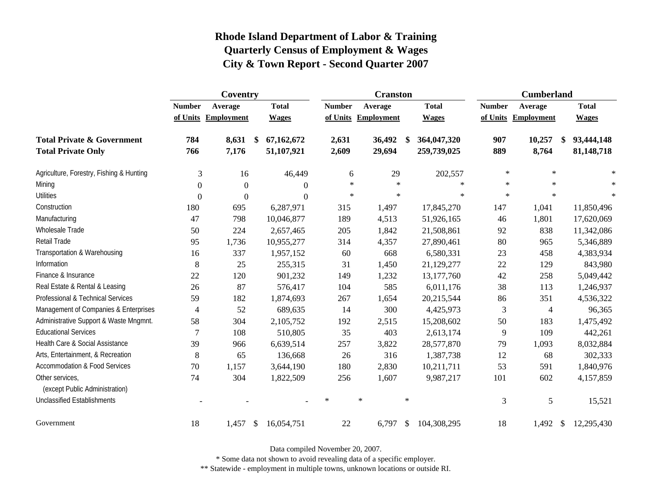|                                                   |                  | Coventry            |              |               | <b>Cranston</b>     |                              | <b>Cumberland</b> |                          |              |  |
|---------------------------------------------------|------------------|---------------------|--------------|---------------|---------------------|------------------------------|-------------------|--------------------------|--------------|--|
|                                                   | <b>Number</b>    | Average             | <b>Total</b> | <b>Number</b> | Average             | <b>Total</b>                 | <b>Number</b>     | Average                  | <b>Total</b> |  |
|                                                   |                  | of Units Employment | <b>Wages</b> |               | of Units Employment | <b>Wages</b>                 |                   | of Units Employment      | <b>Wages</b> |  |
| <b>Total Private &amp; Government</b>             | 784              | 8,631<br>\$         | 67,162,672   | 2,631         | 36,492              | 364,047,320                  | 907               | 10,257<br>\$             | 93,444,148   |  |
| <b>Total Private Only</b>                         | 766              | 7,176               | 51,107,921   | 2,609         | 29,694              | 259,739,025                  | 889               | 8,764                    | 81,148,718   |  |
| Agriculture, Forestry, Fishing & Hunting          | $\mathfrak{Z}$   | 16                  | 46,449       | 6             | 29                  | 202,557                      | $\ast$            | $\ast$                   | $\ast$       |  |
| Mining                                            | $\Omega$         | $\overline{0}$      | $\Omega$     | $\ast$        | $\ast$              | $\ast$                       | $\ast$            | $\star$                  | $\ast$       |  |
| <b>Utilities</b>                                  | $\boldsymbol{0}$ | $\boldsymbol{0}$    | $\Omega$     | $\ast$        | $\ast$              | $\ast$                       | $\ast$            | $\ast$                   | $\ast$       |  |
| Construction                                      | 180              | 695                 | 6,287,971    | 315           | 1,497               | 17,845,270                   | 147               | 1,041                    | 11,850,496   |  |
| Manufacturing                                     | 47               | 798                 | 10,046,877   | 189           | 4,513               | 51,926,165                   | 46                | 1,801                    | 17,620,069   |  |
| Wholesale Trade                                   | 50               | 224                 | 2,657,465    | 205           | 1,842               | 21,508,861                   | 92                | 838                      | 11,342,086   |  |
| Retail Trade                                      | 95               | 1,736               | 10,955,277   | 314           | 4,357               | 27,890,461                   | 80                | 965                      | 5,346,889    |  |
| Transportation & Warehousing                      | 16               | 337                 | 1,957,152    | 60            | 668                 | 6,580,331                    | 23                | 458                      | 4,383,934    |  |
| Information                                       | 8                | 25                  | 255,315      | 31            | 1,450               | 21,129,277                   | 22                | 129                      | 843,980      |  |
| Finance & Insurance                               | 22               | 120                 | 901,232      | 149           | 1,232               | 13,177,760                   | 42                | 258                      | 5,049,442    |  |
| Real Estate & Rental & Leasing                    | 26               | 87                  | 576,417      | 104           | 585                 | 6,011,176                    | 38                | 113                      | 1,246,937    |  |
| Professional & Technical Services                 | 59               | 182                 | 1,874,693    | 267           | 1,654               | 20,215,544                   | 86                | 351                      | 4,536,322    |  |
| Management of Companies & Enterprises             | 4                | 52                  | 689,635      | 14            | 300                 | 4,425,973                    | 3                 | $\overline{\mathcal{A}}$ | 96,365       |  |
| Administrative Support & Waste Mngmnt.            | 58               | 304                 | 2,105,752    | 192           | 2,515               | 15,208,602                   | 50                | 183                      | 1,475,492    |  |
| <b>Educational Services</b>                       | $\overline{7}$   | 108                 | 510,805      | 35            | 403                 | 2,613,174                    | 9                 | 109                      | 442,261      |  |
| Health Care & Social Assistance                   | 39               | 966                 | 6,639,514    | 257           | 3,822               | 28,577,870                   | 79                | 1,093                    | 8,032,884    |  |
| Arts, Entertainment, & Recreation                 | 8                | 65                  | 136,668      | 26            | 316                 | 1,387,738                    | 12                | 68                       | 302,333      |  |
| <b>Accommodation &amp; Food Services</b>          | 70               | 1,157               | 3,644,190    | 180           | 2,830               | 10,211,711                   | 53                | 591                      | 1,840,976    |  |
| Other services,<br>(except Public Administration) | 74               | 304                 | 1,822,509    | 256           | 1,607               | 9,987,217                    | 101               | 602                      | 4,157,859    |  |
| <b>Unclassified Establishments</b>                |                  |                     |              | $\ast$        | $\ast$              | $\ast$                       | 3                 | 5                        | 15,521       |  |
| Government                                        | 18               | 1,457<br>\$         | 16,054,751   | 22            | 6,797               | $\mathcal{S}$<br>104,308,295 | 18                | 1,492<br>-S              | 12,295,430   |  |

Data compiled November 20, 2007.

\* Some data not shown to avoid revealing data of a specific employer.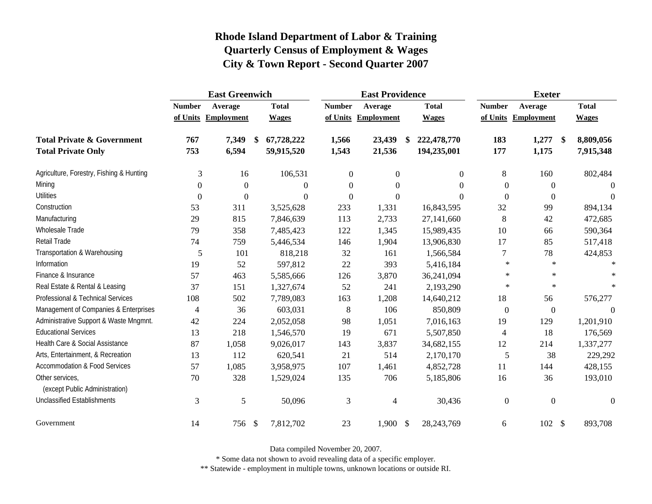|                                                   |                | <b>East Greenwich</b> |              |                  | <b>East Providence</b> |                   | <b>Exeter</b>  |                        |              |  |
|---------------------------------------------------|----------------|-----------------------|--------------|------------------|------------------------|-------------------|----------------|------------------------|--------------|--|
|                                                   | <b>Number</b>  | Average               | <b>Total</b> | <b>Number</b>    | Average                | <b>Total</b>      | <b>Number</b>  | Average                | <b>Total</b> |  |
|                                                   |                | of Units Employment   | <b>Wages</b> |                  | of Units Employment    | <b>Wages</b>      |                | of Units Employment    | <b>Wages</b> |  |
| <b>Total Private &amp; Government</b>             | 767            | 7,349<br>S.           | 67,728,222   | 1,566            | 23,439                 | 222,478,770<br>\$ | 183            | 1,277<br>$\mathbf{\$}$ | 8,809,056    |  |
| <b>Total Private Only</b>                         | 753            | 6,594                 | 59,915,520   | 1,543            | 21,536                 | 194,235,001       | 177            | 1,175                  | 7,915,348    |  |
| Agriculture, Forestry, Fishing & Hunting          | 3              | 16                    | 106,531      | $\boldsymbol{0}$ | $\boldsymbol{0}$       | $\boldsymbol{0}$  | 8              | 160                    | 802,484      |  |
| Mining                                            | $\theta$       | $\boldsymbol{0}$      | $\mathbf{0}$ | $\theta$         | $\boldsymbol{0}$       | $\Omega$          | $\overline{0}$ | $\overline{0}$         |              |  |
| <b>Utilities</b>                                  | $\theta$       | $\boldsymbol{0}$      | $\Omega$     | $\theta$         | $\boldsymbol{0}$       | $\Omega$          | $\overline{0}$ | $\boldsymbol{0}$       | $\Omega$     |  |
| Construction                                      | 53             | 311                   | 3,525,628    | 233              | 1,331                  | 16,843,595        | 32             | 99                     | 894,134      |  |
| Manufacturing                                     | 29             | 815                   | 7,846,639    | 113              | 2,733                  | 27,141,660        | $\,8\,$        | 42                     | 472,685      |  |
| Wholesale Trade                                   | 79             | 358                   | 7,485,423    | 122              | 1,345                  | 15,989,435        | 10             | 66                     | 590,364      |  |
| <b>Retail Trade</b>                               | 74             | 759                   | 5,446,534    | 146              | 1,904                  | 13,906,830        | 17             | 85                     | 517,418      |  |
| Transportation & Warehousing                      | 5              | 101                   | 818,218      | 32               | 161                    | 1,566,584         | 7              | 78                     | 424,853      |  |
| Information                                       | 19             | 52                    | 597,812      | 22               | 393                    | 5,416,184         | $\ast$         | $\ast$                 | $\ast$       |  |
| Finance & Insurance                               | 57             | 463                   | 5,585,666    | 126              | 3,870                  | 36,241,094        | $\ast$         | $\star$                | $\ast$       |  |
| Real Estate & Rental & Leasing                    | 37             | 151                   | 1,327,674    | 52               | 241                    | 2,193,290         | $\ast$         | $\ast$                 | $\ast$       |  |
| Professional & Technical Services                 | 108            | 502                   | 7,789,083    | 163              | 1,208                  | 14,640,212        | 18             | 56                     | 576,277      |  |
| Management of Companies & Enterprises             | $\overline{4}$ | 36                    | 603,031      | 8                | 106                    | 850,809           | $\overline{0}$ | $\boldsymbol{0}$       | $\Omega$     |  |
| Administrative Support & Waste Mngmnt.            | 42             | 224                   | 2,052,058    | 98               | 1,051                  | 7,016,163         | 19             | 129                    | 1,201,910    |  |
| <b>Educational Services</b>                       | 13             | 218                   | 1,546,570    | 19               | 671                    | 5,507,850         | $\overline{4}$ | 18                     | 176,569      |  |
| Health Care & Social Assistance                   | 87             | 1,058                 | 9,026,017    | 143              | 3,837                  | 34,682,155        | 12             | 214                    | 1,337,277    |  |
| Arts, Entertainment, & Recreation                 | 13             | 112                   | 620,541      | 21               | 514                    | 2,170,170         | 5              | 38                     | 229,292      |  |
| <b>Accommodation &amp; Food Services</b>          | 57             | 1,085                 | 3,958,975    | 107              | 1,461                  | 4,852,728         | 11             | 144                    | 428,155      |  |
| Other services,<br>(except Public Administration) | 70             | 328                   | 1,529,024    | 135              | 706                    | 5,185,806         | 16             | 36                     | 193,010      |  |
| <b>Unclassified Establishments</b>                | 3              | 5                     | 50,096       | 3                | 4                      | 30,436            | $\overline{0}$ | $\mathbf{0}$           | $\Omega$     |  |
| Government                                        | 14             | 756 \$                | 7,812,702    | 23               | $1,900$ \$             | 28, 243, 769      | 6              | $102 \text{ }$ \$      | 893,708      |  |

Data compiled November 20, 2007.

\* Some data not shown to avoid revealing data of a specific employer.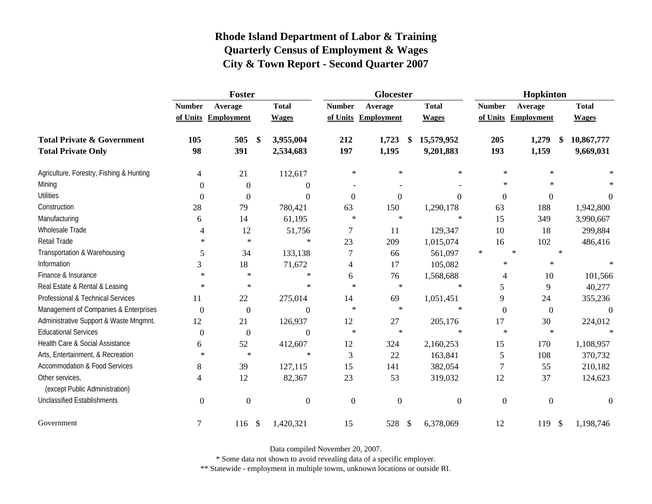|                                                   |                  | Foster              |                                        |                | Glocester           |              | Hopkinton        |                      |              |  |
|---------------------------------------------------|------------------|---------------------|----------------------------------------|----------------|---------------------|--------------|------------------|----------------------|--------------|--|
|                                                   | <b>Number</b>    | Average             | <b>Total</b>                           | <b>Number</b>  | Average             | <b>Total</b> | <b>Number</b>    | Average              | <b>Total</b> |  |
|                                                   |                  | of Units Employment | <b>Wages</b>                           |                | of Units Employment | <b>Wages</b> |                  | of Units Employment  | <b>Wages</b> |  |
| <b>Total Private &amp; Government</b>             | 105              | 505                 | 3,955,004<br>$\boldsymbol{\$}$         | 212            | 1,723<br>\$         | 15,579,952   | 205              | 1,279<br>-\$         | 10,867,777   |  |
| <b>Total Private Only</b>                         | 98               | 391                 | 2,534,683                              | 197            | 1,195               | 9,201,883    | 193              | 1,159                | 9,669,031    |  |
| Agriculture, Forestry, Fishing & Hunting          | 4                | 21                  | 112,617                                | $\ast$         | $\ast$              | ∗            | $\ast$           | $\ast$               |              |  |
| Mining                                            | $\Omega$         | $\overline{0}$      | 0                                      |                |                     |              | $\ast$           | $\ast$               |              |  |
| <b>Utilities</b>                                  | $\boldsymbol{0}$ | $\overline{0}$      | $\Omega$                               | $\mathbf{0}$   | $\mathbf{0}$        | $\Omega$     | $\boldsymbol{0}$ | $\boldsymbol{0}$     | $\Omega$     |  |
| Construction                                      | 28               | 79                  | 780,421                                | 63             | 150                 | 1,290,178    | 63               | 188                  | 1,942,800    |  |
| Manufacturing                                     | 6                | 14                  | 61,195                                 | $\ast$         | $\ast$              | $\ast$       | 15               | 349                  | 3,990,667    |  |
| <b>Wholesale Trade</b>                            | 4                | 12                  | 51,756                                 | 7              | 11                  | 129,347      | 10               | 18                   | 299,884      |  |
| Retail Trade                                      | $\ast$           | $\ast$              | $\ast$                                 | 23             | 209                 | 1,015,074    | 16               | 102                  | 486,416      |  |
| Transportation & Warehousing                      | 5                | 34                  | 133,138                                | $\tau$         | 66                  | 561,097      | $\ast$           | $\ast$<br>$\ast$     |              |  |
| Information                                       | 3                | 18                  | 71,672                                 | $\overline{4}$ | 17                  | 105,082      | $\ast$           | $\ast$               |              |  |
| Finance & Insurance                               | $\ast$           | $\ast$              | $\ast$                                 | 6              | 76                  | 1,568,688    | 4                | 10                   | 101,566      |  |
| Real Estate & Rental & Leasing                    | $\ast$           | $\ast$              | $\ast$                                 | $\star$        | $\ast$              | $\ast$       | 5                | 9                    | 40,277       |  |
| Professional & Technical Services                 | 11               | $22\,$              | 275,014                                | 14             | 69                  | 1,051,451    | 9                | 24                   | 355,236      |  |
| Management of Companies & Enterprises             | $\boldsymbol{0}$ | $\overline{0}$      | $\Omega$                               | $\ast$         | $\ast$              | $\ast$       | $\boldsymbol{0}$ | $\boldsymbol{0}$     | $\theta$     |  |
| Administrative Support & Waste Mngmnt.            | 12               | 21                  | 126,937                                | 12             | 27                  | 205,176      | 17               | 30                   | 224,012      |  |
| <b>Educational Services</b>                       | $\overline{0}$   | $\boldsymbol{0}$    | $\theta$                               | $\ast$         | $\ast$              | $\ast$       | $\ast$           | $\ast$               |              |  |
| Health Care & Social Assistance                   | 6                | 52                  | 412,607                                | 12             | 324                 | 2,160,253    | 15               | 170                  | 1,108,957    |  |
| Arts, Entertainment, & Recreation                 | $\ast$           | $\ast$              | $\ast$                                 | 3              | 22                  | 163,841      | 5                | 108                  | 370,732      |  |
| Accommodation & Food Services                     | 8                | 39                  | 127,115                                | 15             | 141                 | 382,054      | $\tau$           | 55                   | 210,182      |  |
| Other services,<br>(except Public Administration) | 4                | 12                  | 82,367                                 | 23             | 53                  | 319,032      | 12               | 37                   | 124,623      |  |
| <b>Unclassified Establishments</b>                | $\mathbf{0}$     | $\overline{0}$      | $\mathbf{0}$                           | $\overline{0}$ | $\overline{0}$      | $\mathbf{0}$ | $\boldsymbol{0}$ | $\boldsymbol{0}$     | $\Omega$     |  |
|                                                   |                  |                     |                                        |                |                     |              |                  |                      |              |  |
| Government                                        | 7                | 116                 | 1,420,321<br>$\boldsymbol{\mathsf{S}}$ | 15             | 528<br>$\sqrt{3}$   | 6,378,069    | 12               | 119<br>$\mathcal{S}$ | 1,198,746    |  |

Data compiled November 20, 2007.

\* Some data not shown to avoid revealing data of a specific employer.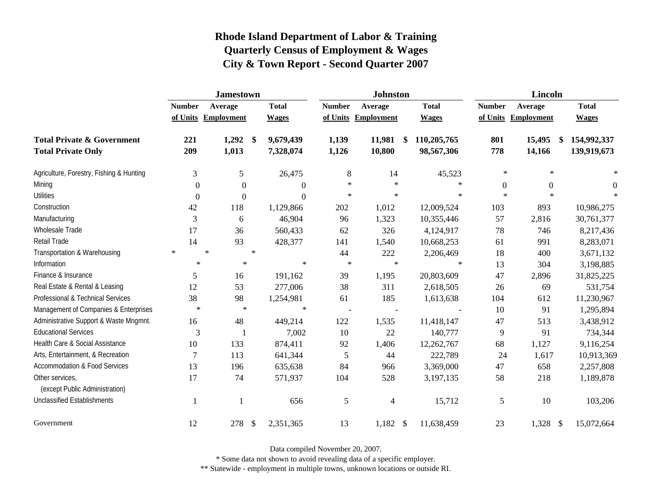|                                                   | <b>Jamestown</b> |                     |                         |                  |               | <b>Johnston</b>     |                   | Lincoln          |                     |              |  |
|---------------------------------------------------|------------------|---------------------|-------------------------|------------------|---------------|---------------------|-------------------|------------------|---------------------|--------------|--|
|                                                   | <b>Number</b>    | Average             |                         | <b>Total</b>     | <b>Number</b> | Average             | <b>Total</b>      | <b>Number</b>    | Average             | <b>Total</b> |  |
|                                                   |                  | of Units Employment |                         | <b>Wages</b>     |               | of Units Employment | <b>Wages</b>      |                  | of Units Employment | <b>Wages</b> |  |
| <b>Total Private &amp; Government</b>             | 221              | 1,292               | $\sqrt[6]{\frac{1}{2}}$ | 9,679,439        | 1,139         | 11,981              | \$<br>110,205,765 | 801              | 15,495<br>\$        | 154,992,337  |  |
| <b>Total Private Only</b>                         | 209              | 1,013               |                         | 7,328,074        | 1,126         | 10,800              | 98,567,306        | 778              | 14,166              | 139,919,673  |  |
| Agriculture, Forestry, Fishing & Hunting          | 3                | 5                   |                         | 26,475           | $\,8\,$       | 14                  | 45,523            | $\ast$           | $\ast$              | $\ast$       |  |
| Mining                                            | $\Omega$         | $\Omega$            |                         | $\boldsymbol{0}$ | $\ast$        | $\ast$              | $\ast$            | $\boldsymbol{0}$ | $\theta$            | $\theta$     |  |
| <b>Utilities</b>                                  | $\theta$         | $\Omega$            |                         | $\overline{0}$   | $\ast$        | $\ast$              | $\ast$            | $\star$          | $\ast$              |              |  |
| Construction                                      | 42               | 118                 |                         | 1,129,866        | 202           | 1,012               | 12,009,524        | 103              | 893                 | 10,986,275   |  |
| Manufacturing                                     | 3                | 6                   |                         | 46,904           | 96            | 1,323               | 10,355,446        | 57               | 2,816               | 30,761,377   |  |
| Wholesale Trade                                   | 17               | 36                  |                         | 560,433          | 62            | 326                 | 4,124,917         | 78               | 746                 | 8,217,436    |  |
| <b>Retail Trade</b>                               | 14               | 93                  |                         | 428,377          | 141           | 1,540               | 10,668,253        | 61               | 991                 | 8,283,071    |  |
| Transportation & Warehousing                      | $\ast$           | $\ast$              | $\star$                 |                  | 44            | 222                 | 2,206,469         | 18               | 400                 | 3,671,132    |  |
| Information                                       | $\ast$           | $\ast$              |                         | $\ast$           | $\ast$        | $\ast$              | $\ast$            | 13               | 304                 | 3,198,885    |  |
| Finance & Insurance                               | 5                | 16                  |                         | 191,162          | 39            | 1,195               | 20,803,609        | 47               | 2,896               | 31,825,225   |  |
| Real Estate & Rental & Leasing                    | 12               | 53                  |                         | 277,006          | 38            | 311                 | 2,618,505         | 26               | 69                  | 531,754      |  |
| Professional & Technical Services                 | 38               | 98                  |                         | 1,254,981        | 61            | 185                 | 1,613,638         | 104              | 612                 | 11,230,967   |  |
| Management of Companies & Enterprises             | $\ast$           | $\ast$              |                         | $\ast$           |               |                     |                   | 10               | 91                  | 1,295,894    |  |
| Administrative Support & Waste Mngmnt.            | 16               | 48                  |                         | 449,214          | 122           | 1,535               | 11,418,147        | 47               | 513                 | 3,438,912    |  |
| <b>Educational Services</b>                       | 3                |                     |                         | 7,002            | 10            | 22                  | 140,777           | 9                | 91                  | 734,344      |  |
| Health Care & Social Assistance                   | 10               | 133                 |                         | 874,411          | 92            | 1,406               | 12,262,767        | 68               | 1,127               | 9,116,254    |  |
| Arts, Entertainment, & Recreation                 | 7                | 113                 |                         | 641,344          | 5             | 44                  | 222,789           | 24               | 1,617               | 10,913,369   |  |
| <b>Accommodation &amp; Food Services</b>          | 13               | 196                 |                         | 635,638          | 84            | 966                 | 3,369,000         | 47               | 658                 | 2,257,808    |  |
| Other services,<br>(except Public Administration) | 17               | 74                  |                         | 571,937          | 104           | 528                 | 3,197,135         | 58               | 218                 | 1,189,878    |  |
| <b>Unclassified Establishments</b>                | $\mathbf{1}$     |                     |                         | 656              | 5             | 4                   | 15,712            | 5                | 10                  | 103,206      |  |
| Government                                        | 12               | 278                 | $\sqrt{3}$              | 2,351,365        | 13            | $1,182$ \$          | 11,638,459        | 23               | 1,328 \$            | 15,072,664   |  |

Data compiled November 20, 2007.

\* Some data not shown to avoid revealing data of a specific employer.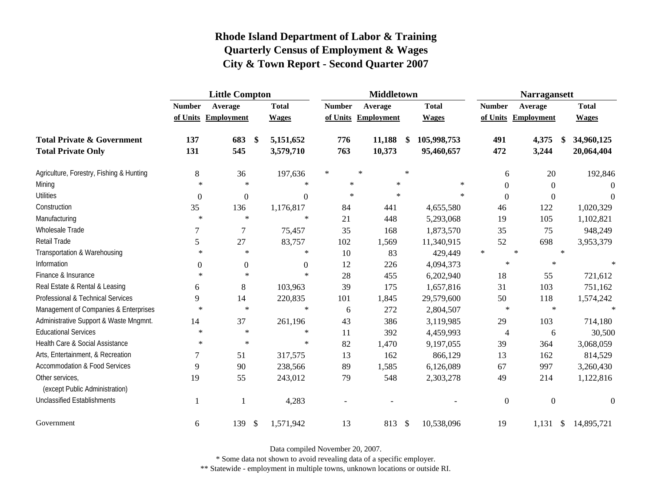|                                                   |                  | <b>Little Compton</b>            |                | <b>Middletown</b> |                     | <b>Narragansett</b> |              |               |                                    |               |              |
|---------------------------------------------------|------------------|----------------------------------|----------------|-------------------|---------------------|---------------------|--------------|---------------|------------------------------------|---------------|--------------|
|                                                   | <b>Number</b>    | Average                          | <b>Total</b>   | <b>Number</b>     | Average             |                     | <b>Total</b> | <b>Number</b> | Average                            |               | <b>Total</b> |
|                                                   |                  | of Units Employment              | <b>Wages</b>   |                   | of Units Employment |                     | <b>Wages</b> |               | of Units Employment                |               | <b>Wages</b> |
| <b>Total Private &amp; Government</b>             | 137              | 683<br>\$                        | 5,151,652      | 776               | 11,188              | -\$                 | 105,998,753  | 491           | 4,375                              | \$            | 34,960,125   |
| <b>Total Private Only</b>                         | 131              | 545                              | 3,579,710      | 763               | 10,373              |                     | 95,460,657   | 472           | 3,244                              |               | 20,064,404   |
| Agriculture, Forestry, Fishing & Hunting          | 8                | 36                               | 197,636        | $\ast$            | $\ast$              | $\ast$              |              |               | 20<br>6                            |               | 192,846      |
| Mining                                            | $\ast$           | $\ast$                           | $\ast$         | $\ast$            | $\ast$              |                     | $\ast$       |               | $\Omega$<br>$\boldsymbol{0}$       |               | 0            |
| <b>Utilities</b>                                  | $\boldsymbol{0}$ | $\boldsymbol{0}$                 | $\overline{0}$ | $\ast$            | ∗                   |                     | $\ast$       |               | $\overline{0}$<br>$\boldsymbol{0}$ |               | $\Omega$     |
| Construction                                      | 35               | 136                              | 1,176,817      | 84                | 441                 |                     | 4,655,580    | 46            | 122                                |               | 1,020,329    |
| Manufacturing                                     | $\ast$           | $\ast$                           | $\ast$         | 21                | 448                 |                     | 5,293,068    | 19            | 105                                |               | 1,102,821    |
| Wholesale Trade                                   |                  | $\overline{7}$                   | 75,457         | 35                | 168                 |                     | 1,873,570    | 35            | 75                                 |               | 948,249      |
| Retail Trade                                      | 5                | 27                               | 83,757         | 102               | 1,569               |                     | 11,340,915   | 52            | 698                                |               | 3,953,379    |
| Transportation & Warehousing                      | $\ast$           | $\ast$                           | $\ast$         | 10                | 83                  |                     | 429,449      | $\ast$        | $\ast$                             | $\ast$        |              |
| Information                                       | $\Omega$         | $\boldsymbol{0}$                 | $\Omega$       | 12                | 226                 |                     | 4,094,373    |               | $\ast$<br>$\ast$                   |               |              |
| Finance & Insurance                               | $\ast$           | $\ast$                           | $\ast$         | 28                | 455                 |                     | 6,202,940    | 18            | 55                                 |               | 721,612      |
| Real Estate & Rental & Leasing                    | 6                | 8                                | 103,963        | 39                | 175                 |                     | 1,657,816    | 31            | 103                                |               | 751,162      |
| Professional & Technical Services                 | 9                | 14                               | 220,835        | 101               | 1,845               |                     | 29,579,600   | 50            | 118                                |               | 1,574,242    |
| Management of Companies & Enterprises             | $\ast$           | $\ast$                           | $\ast$         | 6                 | 272                 |                     | 2,804,507    |               | $\ast$<br>$\ast$                   |               | $\star$      |
| Administrative Support & Waste Mngmnt.            | 14               | 37                               | 261,196        | 43                | 386                 |                     | 3,119,985    | 29            | 103                                |               | 714,180      |
| <b>Educational Services</b>                       | $\ast$           | $\ast$                           | $\ast$         | 11                | 392                 |                     | 4,459,993    |               | 6<br>$\overline{4}$                |               | 30,500       |
| Health Care & Social Assistance                   | $\ast$           | $\ast$                           | $\ast$         | 82                | 1,470               |                     | 9,197,055    | 39            | 364                                |               | 3,068,059    |
| Arts, Entertainment, & Recreation                 | 7                | 51                               | 317,575        | 13                | 162                 |                     | 866,129      | 13            | 162                                |               | 814,529      |
| <b>Accommodation &amp; Food Services</b>          | 9                | 90                               | 238,566        | 89                | 1,585               |                     | 6,126,089    | 67            | 997                                |               | 3,260,430    |
| Other services,<br>(except Public Administration) | 19               | 55                               | 243,012        | 79                | 548                 |                     | 2,303,278    | 49            | 214                                |               | 1,122,816    |
| <b>Unclassified Establishments</b>                | 1                | -1                               | 4,283          |                   |                     |                     |              |               | $\overline{0}$<br>$\overline{0}$   |               | $\Omega$     |
| Government                                        | 6                | 139<br>$\boldsymbol{\mathsf{S}}$ | 1,571,942      | 13                | 813                 | $\sqrt{3}$          | 10,538,096   | 19            | 1,131                              | $\mathcal{S}$ | 14,895,721   |

Data compiled November 20, 2007.

\* Some data not shown to avoid revealing data of a specific employer.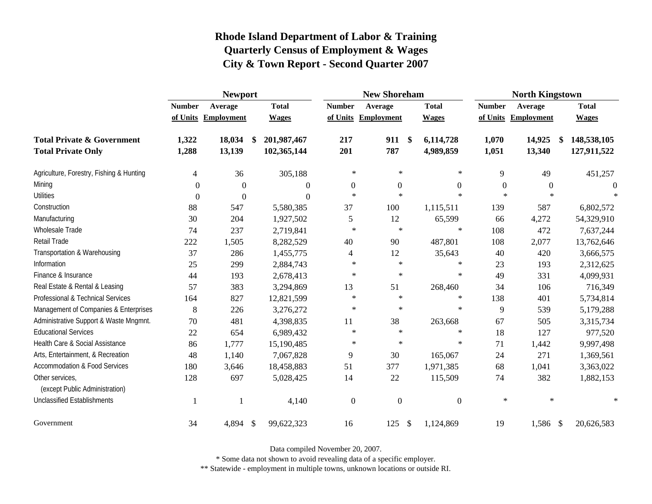|                                                   | <b>Newport</b> |                     |    |              |                  | <b>New Shoreham</b> |                   |                  | <b>North Kingstown</b> |                   |              |  |
|---------------------------------------------------|----------------|---------------------|----|--------------|------------------|---------------------|-------------------|------------------|------------------------|-------------------|--------------|--|
|                                                   | <b>Number</b>  | Average             |    | <b>Total</b> | <b>Number</b>    | Average             |                   | <b>Total</b>     | <b>Number</b>          | Average           | <b>Total</b> |  |
|                                                   |                | of Units Employment |    | <b>Wages</b> | of Units         | Employment          |                   | <b>Wages</b>     | of Units               | <b>Employment</b> | <b>Wages</b> |  |
| <b>Total Private &amp; Government</b>             | 1,322          | 18,034              | \$ | 201,987,467  | 217              | 911                 | $\boldsymbol{\$}$ | 6,114,728        | 1,070                  | 14,925<br>\$      | 148,538,105  |  |
| <b>Total Private Only</b>                         | 1,288          | 13,139              |    | 102,365,144  | 201              | 787                 |                   | 4,989,859        | 1,051                  | 13,340            | 127,911,522  |  |
| Agriculture, Forestry, Fishing & Hunting          | $\overline{4}$ | 36                  |    | 305,188      | $\ast$           | $\ast$              |                   | $\ast$           | 9                      | 49                | 451,257      |  |
| Mining                                            | $\Omega$       | $\theta$            |    | 0            | $\boldsymbol{0}$ | $\boldsymbol{0}$    |                   | $\boldsymbol{0}$ | $\boldsymbol{0}$       | $\theta$          | $\theta$     |  |
| <b>Utilities</b>                                  | $\Omega$       | $\theta$            |    | $\theta$     | $\ast$           | $\ast$              |                   | $*$              | $\ast$                 | $\ast$            | 大            |  |
| Construction                                      | 88             | 547                 |    | 5,580,385    | 37               | 100                 |                   | 1,115,511        | 139                    | 587               | 6,802,572    |  |
| Manufacturing                                     | 30             | 204                 |    | 1,927,502    | 5                | 12                  |                   | 65,599           | 66                     | 4,272             | 54,329,910   |  |
| Wholesale Trade                                   | 74             | 237                 |    | 2,719,841    | $\ast$           | $\ast$              |                   | $\ast$           | 108                    | 472               | 7,637,244    |  |
| Retail Trade                                      | 222            | 1,505               |    | 8,282,529    | 40               | 90                  |                   | 487,801          | 108                    | 2,077             | 13,762,646   |  |
| Transportation & Warehousing                      | 37             | 286                 |    | 1,455,775    | $\overline{4}$   | 12                  |                   | 35,643           | 40                     | 420               | 3,666,575    |  |
| Information                                       | 25             | 299                 |    | 2,884,743    | $\ast$           | $\ast$              |                   | $\ast$           | 23                     | 193               | 2,312,625    |  |
| Finance & Insurance                               | 44             | 193                 |    | 2,678,413    | $\ast$           | $\ast$              |                   | $\ast$           | 49                     | 331               | 4,099,931    |  |
| Real Estate & Rental & Leasing                    | 57             | 383                 |    | 3,294,869    | 13               | 51                  |                   | 268,460          | 34                     | 106               | 716,349      |  |
| Professional & Technical Services                 | 164            | 827                 |    | 12,821,599   | $\star$          | $\ast$              |                   | $\ast$           | 138                    | 401               | 5,734,814    |  |
| Management of Companies & Enterprises             | 8              | 226                 |    | 3,276,272    | $\ast$           | $\ast$              |                   | $\ast$           | 9                      | 539               | 5,179,288    |  |
| Administrative Support & Waste Mngmnt.            | 70             | 481                 |    | 4,398,835    | 11               | 38                  |                   | 263,668          | 67                     | 505               | 3,315,734    |  |
| <b>Educational Services</b>                       | 22             | 654                 |    | 6,989,432    | $\ast$           | $\ast$              |                   | $\ast$           | 18                     | 127               | 977,520      |  |
| Health Care & Social Assistance                   | 86             | 1,777               |    | 15,190,485   | $\ast$           | $\ast$              |                   | $\ast$           | 71                     | 1,442             | 9,997,498    |  |
| Arts, Entertainment, & Recreation                 | 48             | 1,140               |    | 7,067,828    | 9                | 30                  |                   | 165,067          | 24                     | 271               | 1,369,561    |  |
| <b>Accommodation &amp; Food Services</b>          | 180            | 3,646               |    | 18,458,883   | 51               | 377                 |                   | 1,971,385        | 68                     | 1,041             | 3,363,022    |  |
| Other services,<br>(except Public Administration) | 128            | 697                 |    | 5,028,425    | 14               | 22                  |                   | 115,509          | 74                     | 382               | 1,882,153    |  |
| <b>Unclassified Establishments</b>                | -1             |                     |    | 4,140        | $\overline{0}$   | $\boldsymbol{0}$    |                   | $\boldsymbol{0}$ | $\ast$                 | $\ast$            |              |  |
| Government                                        | 34             | 4,894               | \$ | 99,622,323   | 16               | 125                 | $\mathcal{S}$     | 1,124,869        | 19                     | 1,586 \$          | 20,626,583   |  |

Data compiled November 20, 2007.

\* Some data not shown to avoid revealing data of a specific employer.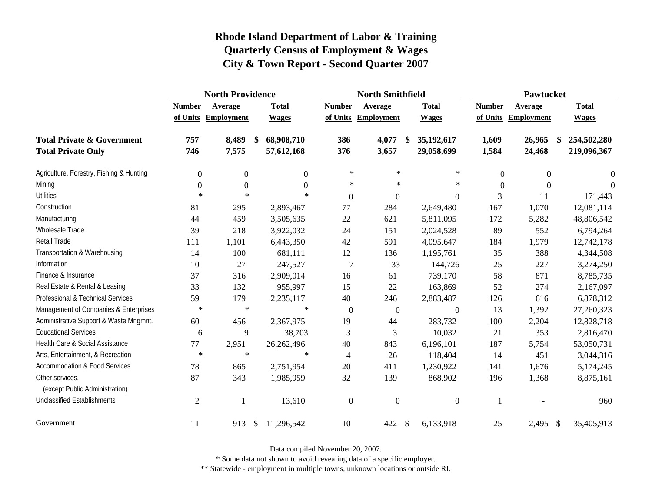|                                                   |                  | <b>North Providence</b> |                  |                  | <b>North Smithfield</b> |                            | Pawtucket        |                     |              |  |
|---------------------------------------------------|------------------|-------------------------|------------------|------------------|-------------------------|----------------------------|------------------|---------------------|--------------|--|
|                                                   | <b>Number</b>    | Average                 | <b>Total</b>     | <b>Number</b>    | Average                 | <b>Total</b>               | <b>Number</b>    | Average             | <b>Total</b> |  |
|                                                   |                  | of Units Employment     | <b>Wages</b>     |                  | of Units Employment     | <b>Wages</b>               |                  | of Units Employment | <b>Wages</b> |  |
| <b>Total Private &amp; Government</b>             | 757              | 8,489                   | 68,908,710<br>\$ | 386              | 4,077                   | 35,192,617<br>\$           | 1,609            | 26,965<br>\$        | 254,502,280  |  |
| <b>Total Private Only</b>                         | 746              | 7,575                   | 57,612,168       | 376              | 3,657                   | 29,058,699                 | 1,584            | 24,468              | 219,096,367  |  |
| Agriculture, Forestry, Fishing & Hunting          | $\boldsymbol{0}$ | $\boldsymbol{0}$        | $\mathbf{0}$     | $\ast$           | $\ast$                  | $\ast$                     | $\boldsymbol{0}$ | $\boldsymbol{0}$    | $\theta$     |  |
| Mining                                            | $\boldsymbol{0}$ | $\overline{0}$          | $\Omega$         | $\ast$           | $\ast$                  | $\ast$                     | $\Omega$         | $\Omega$            | $\Omega$     |  |
| <b>Utilities</b>                                  | $\ast$           | $\ast$                  | $\ast$           | $\boldsymbol{0}$ | $\overline{0}$          | $\boldsymbol{0}$           | 3                | 11                  | 171,443      |  |
| Construction                                      | 81               | 295                     | 2,893,467        | 77               | 284                     | 2,649,480                  | 167              | 1,070               | 12,081,114   |  |
| Manufacturing                                     | 44               | 459                     | 3,505,635        | 22               | 621                     | 5,811,095                  | 172              | 5,282               | 48,806,542   |  |
| Wholesale Trade                                   | 39               | 218                     | 3,922,032        | 24               | 151                     | 2,024,528                  | 89               | 552                 | 6,794,264    |  |
| Retail Trade                                      | 111              | 1,101                   | 6,443,350        | 42               | 591                     | 4,095,647                  | 184              | 1,979               | 12,742,178   |  |
| Transportation & Warehousing                      | 14               | 100                     | 681,111          | 12               | 136                     | 1,195,761                  | 35               | 388                 | 4,344,508    |  |
| Information                                       | 10               | 27                      | 247,527          | $\overline{7}$   | 33                      | 144,726                    | 25               | 227                 | 3,274,250    |  |
| Finance & Insurance                               | 37               | 316                     | 2,909,014        | 16               | 61                      | 739,170                    | 58               | 871                 | 8,785,735    |  |
| Real Estate & Rental & Leasing                    | 33               | 132                     | 955,997          | 15               | 22                      | 163,869                    | 52               | 274                 | 2,167,097    |  |
| Professional & Technical Services                 | 59               | 179                     | 2,235,117        | 40               | 246                     | 2,883,487                  | 126              | 616                 | 6,878,312    |  |
| Management of Companies & Enterprises             | $\ast$           | $\ast$                  | $\ast$           | $\overline{0}$   | $\overline{0}$          | $\boldsymbol{0}$           | 13               | 1,392               | 27,260,323   |  |
| Administrative Support & Waste Mngmnt.            | 60               | 456                     | 2,367,975        | 19               | 44                      | 283,732                    | 100              | 2,204               | 12,828,718   |  |
| <b>Educational Services</b>                       | 6                | 9                       | 38,703           | $\mathfrak{Z}$   | 3                       | 10,032                     | 21               | 353                 | 2,816,470    |  |
| Health Care & Social Assistance                   | 77               | 2,951                   | 26,262,496       | 40               | 843                     | 6,196,101                  | 187              | 5,754               | 53,050,731   |  |
| Arts, Entertainment, & Recreation                 | $\ast$           | $\ast$                  | $\ast$           | $\overline{4}$   | 26                      | 118,404                    | 14               | 451                 | 3,044,316    |  |
| <b>Accommodation &amp; Food Services</b>          | 78               | 865                     | 2,751,954        | 20               | 411                     | 1,230,922                  | 141              | 1,676               | 5,174,245    |  |
| Other services,<br>(except Public Administration) | 87               | 343                     | 1,985,959        | 32               | 139                     | 868,902                    | 196              | 1,368               | 8,875,161    |  |
| <b>Unclassified Establishments</b>                | $\mathbf{2}$     | 1                       | 13,610           | $\boldsymbol{0}$ | $\overline{0}$          | $\boldsymbol{0}$           | 1                |                     | 960          |  |
| Government                                        | 11               | 913                     | 11,296,542<br>\$ | 10               | 422                     | $\mathcal{S}$<br>6,133,918 | 25               | 2,495<br>- \$       | 35,405,913   |  |

Data compiled November 20, 2007.

\* Some data not shown to avoid revealing data of a specific employer.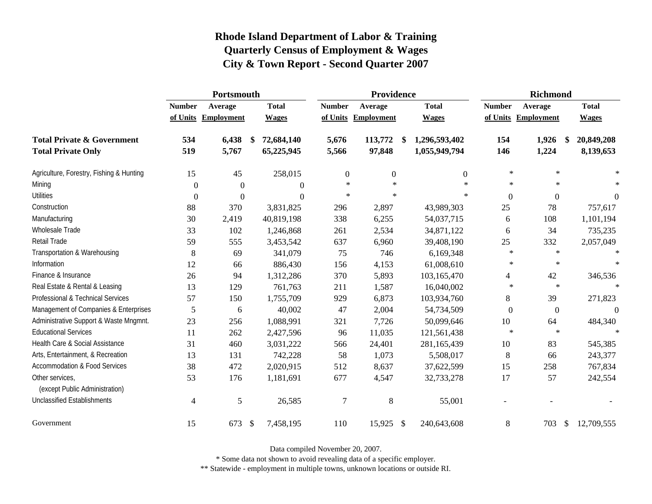|                                                   | Portsmouth     |                     |            |                  |                  | Providence       |    | <b>Richmond</b> |               |            |               |                |
|---------------------------------------------------|----------------|---------------------|------------|------------------|------------------|------------------|----|-----------------|---------------|------------|---------------|----------------|
|                                                   | <b>Number</b>  | Average             |            | <b>Total</b>     | <b>Number</b>    | Average          |    | <b>Total</b>    | <b>Number</b> | Average    |               | <b>Total</b>   |
|                                                   |                | of Units Employment |            | <b>Wages</b>     | of Units         | Employment       |    | <b>Wages</b>    | of Units      | Employment |               | <b>Wages</b>   |
| <b>Total Private &amp; Government</b>             | 534            | 6,438               | \$         | 72,684,140       | 5,676            | 113,772          | \$ | 1,296,593,402   | 154           | 1,926      |               | 20,849,208     |
| <b>Total Private Only</b>                         | 519            | 5,767               |            | 65,225,945       | 5,566            | 97,848           |    | 1,055,949,794   | 146           | 1,224      |               | 8,139,653      |
| Agriculture, Forestry, Fishing & Hunting          | 15             | 45                  |            | 258,015          | $\boldsymbol{0}$ | $\boldsymbol{0}$ |    | $\Omega$        | $\ast$        | $\ast$     |               |                |
| Mining                                            | $\theta$       | $\overline{0}$      |            | $\boldsymbol{0}$ | $\ast$           | $\ast$           |    | $\ast$          | $\ast$        | $\ast$     |               |                |
| <b>Utilities</b>                                  | $\Omega$       | $\Omega$            |            | $\Omega$         | $\ast$           | $\ast$           |    | $\ast$          | $\theta$      | $\theta$   |               | $\overline{0}$ |
| Construction                                      | 88             | 370                 |            | 3,831,825        | 296              | 2,897            |    | 43,989,303      | 25            | 78         |               | 757,617        |
| Manufacturing                                     | 30             | 2,419               |            | 40,819,198       | 338              | 6,255            |    | 54,037,715      | 6             | 108        |               | 1,101,194      |
| <b>Wholesale Trade</b>                            | 33             | 102                 |            | 1,246,868        | 261              | 2,534            |    | 34,871,122      | 6             | 34         |               | 735,235        |
| Retail Trade                                      | 59             | 555                 |            | 3,453,542        | 637              | 6,960            |    | 39,408,190      | 25            | 332        |               | 2,057,049      |
| Transportation & Warehousing                      | $\,8\,$        | 69                  |            | 341,079          | 75               | 746              |    | 6,169,348       | $\ast$        | $\star$    |               | $\ast$         |
| Information                                       | 12             | 66                  |            | 886,430          | 156              | 4,153            |    | 61,008,610      | $\ast$        | $\ast$     |               |                |
| Finance & Insurance                               | 26             | 94                  |            | 1,312,286        | 370              | 5,893            |    | 103,165,470     | 4             | 42         |               | 346,536        |
| Real Estate & Rental & Leasing                    | 13             | 129                 |            | 761,763          | 211              | 1,587            |    | 16,040,002      | $\ast$        | $\ast$     |               |                |
| Professional & Technical Services                 | 57             | 150                 |            | 1,755,709        | 929              | 6,873            |    | 103,934,760     | 8             | 39         |               | 271,823        |
| Management of Companies & Enterprises             | 5              | 6                   |            | 40,002           | 47               | 2,004            |    | 54,734,509      | $\Omega$      | $\Omega$   |               | $\theta$       |
| Administrative Support & Waste Mngmnt.            | 23             | 256                 |            | 1,088,991        | 321              | 7,726            |    | 50,099,646      | 10            | 64         |               | 484,340        |
| <b>Educational Services</b>                       | 11             | 262                 |            | 2,427,596        | 96               | 11,035           |    | 121,561,438     | $\ast$        | $\ast$     |               |                |
| Health Care & Social Assistance                   | 31             | 460                 |            | 3,031,222        | 566              | 24,401           |    | 281,165,439     | 10            | 83         |               | 545,385        |
| Arts, Entertainment, & Recreation                 | 13             | 131                 |            | 742,228          | 58               | 1,073            |    | 5,508,017       | 8             | 66         |               | 243,377        |
| <b>Accommodation &amp; Food Services</b>          | 38             | 472                 |            | 2,020,915        | 512              | 8,637            |    | 37,622,599      | 15            | 258        |               | 767,834        |
| Other services,<br>(except Public Administration) | 53             | 176                 |            | 1,181,691        | 677              | 4,547            |    | 32,733,278      | 17            | 57         |               | 242,554        |
| <b>Unclassified Establishments</b>                | $\overline{4}$ | 5                   |            | 26,585           | $\overline{7}$   | 8                |    | 55,001          |               |            |               |                |
| Government                                        | 15             | 673                 | $\sqrt{3}$ | 7,458,195        | 110              | 15,925 \$        |    | 240,643,608     | $\,8\,$       | 703        | $\mathcal{S}$ | 12,709,555     |

Data compiled November 20, 2007.

\* Some data not shown to avoid revealing data of a specific employer.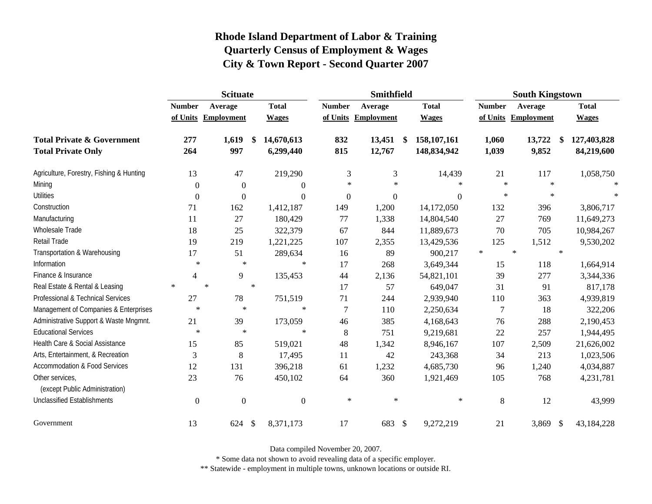|                                                   |                | <b>Scituate</b>     |                         |                  | <b>Smithfield</b>   |                            | <b>South Kingstown</b> |                   |              |  |
|---------------------------------------------------|----------------|---------------------|-------------------------|------------------|---------------------|----------------------------|------------------------|-------------------|--------------|--|
|                                                   | <b>Number</b>  | Average             | <b>Total</b>            | <b>Number</b>    | Average             | <b>Total</b>               | <b>Number</b>          | Average           | <b>Total</b> |  |
|                                                   |                | of Units Employment | <b>Wages</b>            |                  | of Units Employment | <b>Wages</b>               | of Units               | <b>Employment</b> | <b>Wages</b> |  |
| <b>Total Private &amp; Government</b>             | 277            | 1,619               | 14,670,613<br>\$        | 832              | 13,451              | 158, 107, 161<br>\$        | 1,060                  | 13,722<br>\$      | 127,403,828  |  |
| <b>Total Private Only</b>                         | 264            | 997                 | 6,299,440               | 815              | 12,767              | 148,834,942                | 1,039                  | 9,852             | 84,219,600   |  |
| Agriculture, Forestry, Fishing & Hunting          | 13             | 47                  | 219,290                 | 3                | 3                   | 14,439                     | 21                     | 117               | 1,058,750    |  |
| Mining                                            | $\overline{0}$ | $\overline{0}$      | $\overline{0}$          | $\ast$           | $\ast$              | $\ast$                     | $\ast$                 | $\star$           | $\ast$       |  |
| <b>Utilities</b>                                  | $\overline{0}$ | $\mathbf{0}$        | $\boldsymbol{0}$        | $\boldsymbol{0}$ | $\boldsymbol{0}$    | $\overline{0}$             | $\ast$                 | $\ast$            |              |  |
| Construction                                      | 71             | 162                 | 1,412,187               | 149              | 1,200               | 14,172,050                 | 132                    | 396               | 3,806,717    |  |
| Manufacturing                                     | 11             | 27                  | 180,429                 | 77               | 1,338               | 14,804,540                 | 27                     | 769               | 11,649,273   |  |
| Wholesale Trade                                   | 18             | 25                  | 322,379                 | 67               | 844                 | 11,889,673                 | 70                     | 705               | 10,984,267   |  |
| Retail Trade                                      | 19             | 219                 | 1,221,225               | 107              | 2,355               | 13,429,536                 | 125                    | 1,512             | 9,530,202    |  |
| Transportation & Warehousing                      | 17             | 51                  | 289,634                 | 16               | 89                  | 900,217                    | $\ast$                 | $\ast$<br>$\star$ |              |  |
| Information                                       | $\ast$         | $\ast$              | ∗                       | 17               | 268                 | 3,649,344                  | 15                     | 118               | 1,664,914    |  |
| Finance & Insurance                               | 4              | 9                   | 135,453                 | 44               | 2,136               | 54,821,101                 | 39                     | 277               | 3,344,336    |  |
| Real Estate & Rental & Leasing                    | $\sim$         | $\ast$              | $\ast$                  | 17               | 57                  | 649,047                    | 31                     | 91                | 817,178      |  |
| Professional & Technical Services                 | 27             | 78                  | 751,519                 | 71               | 244                 | 2,939,940                  | 110                    | 363               | 4,939,819    |  |
| Management of Companies & Enterprises             | $\ast$         | $\ast$              | $\ast$                  | $\overline{7}$   | 110                 | 2,250,634                  | $\overline{7}$         | 18                | 322,206      |  |
| Administrative Support & Waste Mngmnt.            | 21             | 39                  | 173,059                 | 46               | 385                 | 4,168,643                  | 76                     | 288               | 2,190,453    |  |
| <b>Educational Services</b>                       | $\ast$         | $\ast$              | $\ast$                  | 8                | 751                 | 9,219,681                  | 22                     | 257               | 1,944,495    |  |
| Health Care & Social Assistance                   | 15             | 85                  | 519,021                 | 48               | 1,342               | 8,946,167                  | 107                    | 2,509             | 21,626,002   |  |
| Arts, Entertainment, & Recreation                 | 3              | 8                   | 17,495                  | 11               | 42                  | 243,368                    | 34                     | 213               | 1,023,506    |  |
| <b>Accommodation &amp; Food Services</b>          | 12             | 131                 | 396,218                 | 61               | 1,232               | 4,685,730                  | 96                     | 1,240             | 4,034,887    |  |
| Other services,<br>(except Public Administration) | 23             | 76                  | 450,102                 | 64               | 360                 | 1,921,469                  | 105                    | 768               | 4,231,781    |  |
| <b>Unclassified Establishments</b>                | $\Omega$       | $\overline{0}$      | $\boldsymbol{0}$        | $\ast$           | $\ast$              | $\ast$                     | 8                      | 12                | 43,999       |  |
| Government                                        | 13             | 624                 | $\sqrt{3}$<br>8,371,173 | 17               | 683                 | $\mathcal{S}$<br>9,272,219 | 21                     | 3,869 \$          | 43,184,228   |  |

Data compiled November 20, 2007.

\* Some data not shown to avoid revealing data of a specific employer.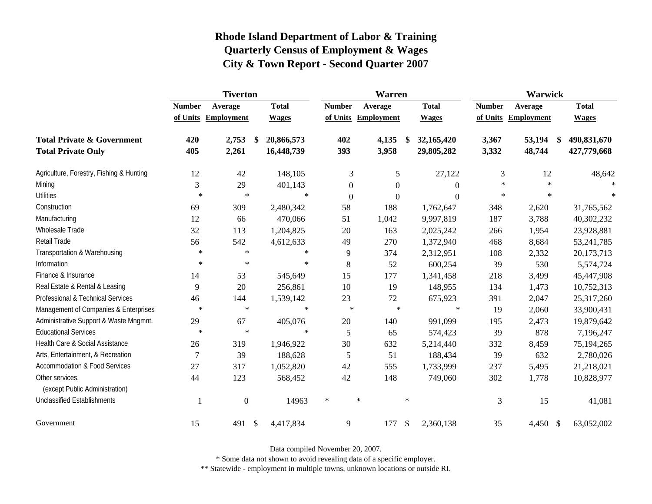|                                                   | <b>Tiverton</b> |                     |                           |              | Warren        |                |                     |               |                  | <b>Warwick</b> |            |    |              |
|---------------------------------------------------|-----------------|---------------------|---------------------------|--------------|---------------|----------------|---------------------|---------------|------------------|----------------|------------|----|--------------|
|                                                   | <b>Number</b>   | Average             |                           | <b>Total</b> | <b>Number</b> |                | Average             |               | <b>Total</b>     | <b>Number</b>  | Average    |    | <b>Total</b> |
|                                                   |                 | of Units Employment |                           | <b>Wages</b> |               |                | of Units Employment |               | <b>Wages</b>     | of Units       | Employment |    | <b>Wages</b> |
| <b>Total Private &amp; Government</b>             | 420             | 2,753               | \$                        | 20,866,573   | 402           |                | 4,135               | - \$          | 32,165,420       | 3,367          | 53,194     | \$ | 490,831,670  |
| <b>Total Private Only</b>                         | 405             | 2,261               |                           | 16,448,739   | 393           |                | 3,958               |               | 29,805,282       | 3,332          | 48,744     |    | 427,779,668  |
| Agriculture, Forestry, Fishing & Hunting          | 12              | 42                  |                           | 148,105      |               | 3              | 5                   |               | 27,122           | 3              | 12         |    | 48,642       |
| Mining                                            | 3               | 29                  |                           | 401,143      |               | $\theta$       | $\overline{0}$      |               | $\overline{0}$   | $\star$        | $\star$    |    | 宋            |
| <b>Utilities</b>                                  | $\ast$          | $\ast$              |                           | $\ast$       |               | $\overline{0}$ | $\boldsymbol{0}$    |               | $\boldsymbol{0}$ | $\ast$         | $\star$    |    | $\ast$       |
| Construction                                      | 69              | 309                 |                           | 2,480,342    | 58            |                | 188                 |               | 1,762,647        | 348            | 2,620      |    | 31,765,562   |
| Manufacturing                                     | 12              | 66                  |                           | 470,066      | 51            |                | 1,042               |               | 9,997,819        | 187            | 3,788      |    | 40,302,232   |
| Wholesale Trade                                   | 32              | 113                 |                           | 1,204,825    | 20            |                | 163                 |               | 2,025,242        | 266            | 1,954      |    | 23,928,881   |
| Retail Trade                                      | 56              | 542                 |                           | 4,612,633    | 49            |                | 270                 |               | 1,372,940        | 468            | 8,684      |    | 53, 241, 785 |
| Transportation & Warehousing                      | $\ast$          | $\ast$              |                           | $\ast$       | 9             |                | 374                 |               | 2,312,951        | 108            | 2,332      |    | 20,173,713   |
| Information                                       | $\ast$          | $\ast$              |                           | $\ast$       | 8             |                | 52                  |               | 600,254          | 39             | 530        |    | 5,574,724    |
| Finance & Insurance                               | 14              | 53                  |                           | 545,649      | 15            |                | 177                 |               | 1,341,458        | 218            | 3,499      |    | 45,447,908   |
| Real Estate & Rental & Leasing                    | 9               | 20                  |                           | 256,861      | 10            |                | 19                  |               | 148,955          | 134            | 1,473      |    | 10,752,313   |
| Professional & Technical Services                 | 46              | 144                 |                           | 1,539,142    | $23\,$        |                | $72\,$              |               | 675,923          | 391            | 2,047      |    | 25,317,260   |
| Management of Companies & Enterprises             | $\ast$          | $\ast$              |                           | $\ast$       |               | $\ast$         | $\ast$              |               | $\ast$           | 19             | 2,060      |    | 33,900,431   |
| Administrative Support & Waste Mngmnt.            | 29              | 67                  |                           | 405,076      | $20\,$        |                | 140                 |               | 991,099          | 195            | 2,473      |    | 19,879,642   |
| <b>Educational Services</b>                       | $\ast$          | $\ast$              |                           | $\ast$       | 5             |                | 65                  |               | 574,423          | 39             | 878        |    | 7,196,247    |
| Health Care & Social Assistance                   | 26              | 319                 |                           | 1,946,922    | 30            |                | 632                 |               | 5,214,440        | 332            | 8,459      |    | 75,194,265   |
| Arts, Entertainment, & Recreation                 | $\overline{7}$  | 39                  |                           | 188,628      | 5             |                | 51                  |               | 188,434          | 39             | 632        |    | 2,780,026    |
| <b>Accommodation &amp; Food Services</b>          | 27              | 317                 |                           | 1,052,820    | 42            |                | 555                 |               | 1,733,999        | 237            | 5,495      |    | 21,218,021   |
| Other services,<br>(except Public Administration) | 44              | 123                 |                           | 568,452      | 42            |                | 148                 |               | 749,060          | 302            | 1,778      |    | 10,828,977   |
| <b>Unclassified Establishments</b>                |                 | $\boldsymbol{0}$    |                           | 14963        | $\ast$        | $\ast$         |                     | $\ast$        |                  | 3              | 15         |    | 41,081       |
| Government                                        | 15              | 491                 | $\boldsymbol{\mathsf{S}}$ | 4,417,834    | 9             |                | 177                 | $\mathcal{S}$ | 2,360,138        | 35             | 4,450 \$   |    | 63,052,002   |

Data compiled November 20, 2007.

\* Some data not shown to avoid revealing data of a specific employer.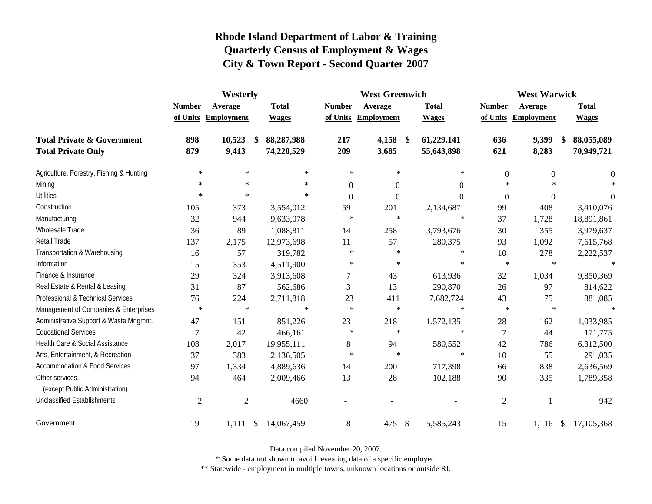|                                                   | Westerly       |                        |                  |                  | <b>West Greenwich</b> |                             | <b>West Warwick</b> |                     |                  |  |  |
|---------------------------------------------------|----------------|------------------------|------------------|------------------|-----------------------|-----------------------------|---------------------|---------------------|------------------|--|--|
|                                                   | <b>Number</b>  | Average                | <b>Total</b>     | <b>Number</b>    | Average               | <b>Total</b>                | <b>Number</b>       | Average             | <b>Total</b>     |  |  |
|                                                   |                | of Units Employment    | <b>Wages</b>     |                  | of Units Employment   | <b>Wages</b>                |                     | of Units Employment | <b>Wages</b>     |  |  |
| <b>Total Private &amp; Government</b>             | 898            | 10,523                 | 88,287,988<br>\$ | 217              | 4,158                 | 61,229,141<br>$\frac{1}{2}$ | 636                 | 9,399               | 88,055,089<br>-S |  |  |
| <b>Total Private Only</b>                         | 879            | 9,413                  | 74,220,529       | 209              | 3,685                 | 55,643,898                  | 621                 | 8,283               | 70,949,721       |  |  |
| Agriculture, Forestry, Fishing & Hunting          | $\ast$         | $\ast$                 | $\ast$           | $\ast$           | $\ast$                | $\ast$                      | $\boldsymbol{0}$    | $\boldsymbol{0}$    | $\boldsymbol{0}$ |  |  |
| Mining                                            | $\ast$         | $\ast$                 | $\ast$           | $\boldsymbol{0}$ | $\mathbf{0}$          | $\theta$                    | $\ast$              | $\ast$              |                  |  |  |
| <b>Utilities</b>                                  | $\ast$         | $\ast$                 | $\ast$           | $\boldsymbol{0}$ | $\overline{0}$        | $\theta$                    | $\overline{0}$      | $\overline{0}$      | $\overline{0}$   |  |  |
| Construction                                      | 105            | 373                    | 3,554,012        | 59               | 201                   | 2,134,687                   | 99                  | 408                 | 3,410,076        |  |  |
| Manufacturing                                     | 32             | 944                    | 9,633,078        | $\ast$           | $\ast$                | $\ast$                      | 37                  | 1,728               | 18,891,861       |  |  |
| Wholesale Trade                                   | 36             | 89                     | 1,088,811        | 14               | 258                   | 3,793,676                   | 30                  | 355                 | 3,979,637        |  |  |
| Retail Trade                                      | 137            | 2,175                  | 12,973,698       | 11               | 57                    | 280,375                     | 93                  | 1,092               | 7,615,768        |  |  |
| Transportation & Warehousing                      | 16             | 57                     | 319,782          | $\ast$           | $\ast$                | $\ast$                      | 10                  | 278                 | 2,222,537        |  |  |
| Information                                       | 15             | 353                    | 4,511,900        | $\ast$           | $\ast$                | $\ast$                      | $\ast$              | $\ast$              | $\ast$           |  |  |
| Finance & Insurance                               | 29             | 324                    | 3,913,608        | $\boldsymbol{7}$ | 43                    | 613,936                     | 32                  | 1,034               | 9,850,369        |  |  |
| Real Estate & Rental & Leasing                    | 31             | 87                     | 562,686          | 3                | 13                    | 290,870                     | 26                  | 97                  | 814,622          |  |  |
| Professional & Technical Services                 | 76             | 224                    | 2,711,818        | 23               | 411                   | 7,682,724                   | 43                  | 75                  | 881,085          |  |  |
| Management of Companies & Enterprises             | $\ast$         | $\ast$                 | $\ast$           | $\ast$           | $\ast$                | $\ast$                      | $\ast$              | $\ast$              | $\star$          |  |  |
| Administrative Support & Waste Mngmnt.            | 47             | 151                    | 851,226          | 23               | 218                   | 1,572,135                   | 28                  | 162                 | 1,033,985        |  |  |
| <b>Educational Services</b>                       | 7              | 42                     | 466,161          | $\ast$           | $\ast$                | $\ast$                      | $\overline{7}$      | 44                  | 171,775          |  |  |
| Health Care & Social Assistance                   | 108            | 2,017                  | 19,955,111       | $\,8\,$          | 94                    | 580,552                     | 42                  | 786                 | 6,312,500        |  |  |
| Arts, Entertainment, & Recreation                 | 37             | 383                    | 2,136,505        | $\ast$           | $\ast$                | $\ast$                      | 10                  | 55                  | 291,035          |  |  |
| <b>Accommodation &amp; Food Services</b>          | 97             | 1,334                  | 4,889,636        | 14               | 200                   | 717,398                     | 66                  | 838                 | 2,636,569        |  |  |
| Other services,<br>(except Public Administration) | 94             | 464                    | 2,009,466        | 13               | 28                    | 102,188                     | 90                  | 335                 | 1,789,358        |  |  |
| <b>Unclassified Establishments</b>                | $\overline{2}$ | $\overline{2}$         | 4660             |                  |                       |                             | $\mathfrak{2}$      |                     | 942              |  |  |
| Government                                        | 19             | 1,111<br>$\frac{1}{2}$ | 14,067,459       | $\,8\,$          | 475                   | \$<br>5,585,243             | 15                  | $1,116$ \$          | 17,105,368       |  |  |

Data compiled November 20, 2007.

\* Some data not shown to avoid revealing data of a specific employer.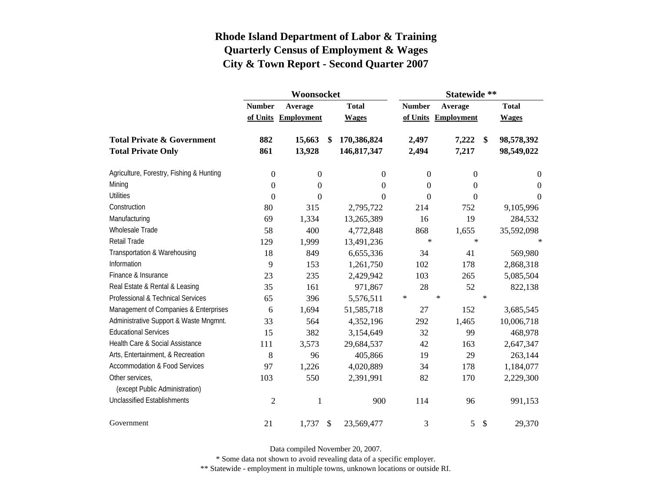|                                          |                          | Woonsocket        |    |                  | Statewide **  |                     |              |                |  |  |  |  |
|------------------------------------------|--------------------------|-------------------|----|------------------|---------------|---------------------|--------------|----------------|--|--|--|--|
|                                          | <b>Number</b><br>Average |                   |    | <b>Total</b>     | <b>Number</b> | Average             | <b>Total</b> |                |  |  |  |  |
|                                          | of Units                 | <b>Employment</b> |    | <b>Wages</b>     |               | of Units Employment |              | <b>Wages</b>   |  |  |  |  |
| <b>Total Private &amp; Government</b>    | 882                      | 15,663            | \$ | 170,386,824      | 2,497         | 7,222               | \$           | 98,578,392     |  |  |  |  |
| <b>Total Private Only</b>                | 861                      | 13,928            |    | 146,817,347      | 2,494         | 7,217               |              | 98,549,022     |  |  |  |  |
| Agriculture, Forestry, Fishing & Hunting | $\boldsymbol{0}$         | $\boldsymbol{0}$  |    | $\theta$         | $\mathbf{0}$  | $\overline{0}$      |              | $\overline{0}$ |  |  |  |  |
| Mining                                   | $\boldsymbol{0}$         | $\mathbf{0}$      |    | $\theta$         | $\theta$      | 0                   |              | $\Omega$       |  |  |  |  |
| <b>Utilities</b>                         | $\boldsymbol{0}$         | $\boldsymbol{0}$  |    | $\boldsymbol{0}$ | $\theta$      | 0                   |              | $\Omega$       |  |  |  |  |
| Construction                             | 80                       | 315               |    | 2,795,722        | 214           | 752                 |              | 9,105,996      |  |  |  |  |
| Manufacturing                            | 69                       | 1,334             |    | 13,265,389       | 16            | 19                  |              | 284,532        |  |  |  |  |
| <b>Wholesale Trade</b>                   | 58                       | 400               |    | 4,772,848        | 868           | 1,655               |              | 35,592,098     |  |  |  |  |
| <b>Retail Trade</b>                      | 129                      | 1,999             |    | 13,491,236       | $\ast$        | $\ast$              |              |                |  |  |  |  |
| Transportation & Warehousing             | 18                       | 849               |    | 6,655,336        | 34            | 41                  |              | 569,980        |  |  |  |  |
| Information                              | 9                        | 153               |    | 1,261,750        | 102           | 178                 |              | 2,868,318      |  |  |  |  |
| Finance & Insurance                      | 23                       | 235               |    | 2,429,942        | 103           | 265                 |              | 5,085,504      |  |  |  |  |
| Real Estate & Rental & Leasing           | 35                       | 161               |    | 971,867          | 28            | 52                  |              | 822,138        |  |  |  |  |
| Professional & Technical Services        | 65                       | 396               |    | 5,576,511        | $\ast$        | $\ast$              | $\ast$       |                |  |  |  |  |
| Management of Companies & Enterprises    | 6                        | 1,694             |    | 51,585,718       | 27            | 152                 |              | 3,685,545      |  |  |  |  |
| Administrative Support & Waste Mngmnt.   | 33                       | 564               |    | 4,352,196        | 292           | 1,465               |              | 10,006,718     |  |  |  |  |
| <b>Educational Services</b>              | 15                       | 382               |    | 3,154,649        | 32            | 99                  |              | 468,978        |  |  |  |  |
| Health Care & Social Assistance          | 111                      | 3,573             |    | 29,684,537       | 42            | 163                 |              | 2,647,347      |  |  |  |  |
| Arts, Entertainment, & Recreation        | 8                        | 96                |    | 405,866          | 19            | 29                  |              | 263,144        |  |  |  |  |
| <b>Accommodation &amp; Food Services</b> | 97                       | 1,226             |    | 4,020,889        | 34            | 178                 |              | 1,184,077      |  |  |  |  |
| Other services,                          | 103                      | 550               |    | 2,391,991        | 82            | 170                 |              | 2,229,300      |  |  |  |  |
| (except Public Administration)           |                          |                   |    |                  |               |                     |              |                |  |  |  |  |
| <b>Unclassified Establishments</b>       | $\overline{2}$           | 1                 |    | 900              | 114           | 96                  |              | 991,153        |  |  |  |  |
| Government                               | 21                       | 1,737             | S. | 23,569,477       | 3             | 5                   | \$           | 29,370         |  |  |  |  |

Data compiled November 20, 2007.

\* Some data not shown to avoid revealing data of a specific employer.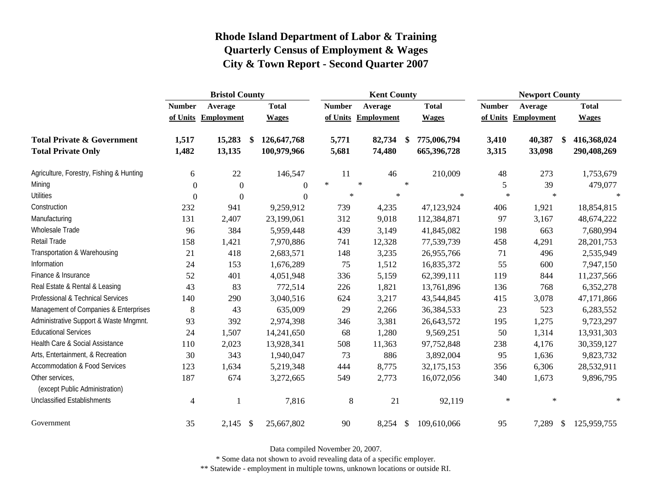|                                                   |                | <b>Bristol County</b> |      |               |               |        | <b>Kent County</b> |               |              | <b>Newport County</b> |                         |  |              |
|---------------------------------------------------|----------------|-----------------------|------|---------------|---------------|--------|--------------------|---------------|--------------|-----------------------|-------------------------|--|--------------|
|                                                   | <b>Number</b>  | Average               |      | <b>Total</b>  | <b>Number</b> |        | Average            |               | <b>Total</b> | <b>Number</b>         | Average                 |  | <b>Total</b> |
|                                                   |                | of Units Employment   |      | <b>Wages</b>  | of Units      |        | <b>Employment</b>  |               | <b>Wages</b> |                       | of Units Employment     |  | <b>Wages</b> |
| <b>Total Private &amp; Government</b>             | 1,517          | 15,283                | \$   | 126, 647, 768 | 5,771         |        | 82,734             | -S            | 775,006,794  | 3,410                 | 40,387<br><sup>\$</sup> |  | 416,368,024  |
| <b>Total Private Only</b>                         | 1,482          | 13,135                |      | 100,979,966   | 5,681         |        | 74,480             |               | 665,396,728  | 3,315                 | 33,098                  |  | 290,408,269  |
| Agriculture, Forestry, Fishing & Hunting          | 6              | 22                    |      | 146,547       | 11            |        | 46                 |               | 210,009      | 48                    | 273                     |  | 1,753,679    |
| Mining                                            | $\Omega$       | $\mathbf{0}$          |      | $\Omega$      | $\ast$        | $\ast$ |                    | $\ast$        |              | 5                     | 39                      |  | 479,077      |
| <b>Utilities</b>                                  | $\Omega$       | $\Omega$              |      | $\Omega$      | $\ast$        |        | $\ast$             |               | $\ast$       | $\ast$                | $\ast$                  |  |              |
| Construction                                      | 232            | 941                   |      | 9,259,912     | 739           |        | 4,235              |               | 47,123,924   | 406                   | 1,921                   |  | 18,854,815   |
| Manufacturing                                     | 131            | 2,407                 |      | 23,199,061    | 312           |        | 9,018              |               | 112,384,871  | 97                    | 3,167                   |  | 48,674,222   |
| Wholesale Trade                                   | 96             | 384                   |      | 5,959,448     | 439           |        | 3,149              |               | 41,845,082   | 198                   | 663                     |  | 7,680,994    |
| Retail Trade                                      | 158            | 1,421                 |      | 7,970,886     | 741           |        | 12,328             |               | 77,539,739   | 458                   | 4,291                   |  | 28, 201, 753 |
| Transportation & Warehousing                      | 21             | 418                   |      | 2,683,571     | 148           |        | 3,235              |               | 26,955,766   | 71                    | 496                     |  | 2,535,949    |
| Information                                       | 24             | 153                   |      | 1,676,289     | 75            |        | 1,512              |               | 16,835,372   | 55                    | 600                     |  | 7,947,150    |
| Finance & Insurance                               | 52             | 401                   |      | 4,051,948     | 336           |        | 5,159              |               | 62,399,111   | 119                   | 844                     |  | 11,237,566   |
| Real Estate & Rental & Leasing                    | 43             | 83                    |      | 772,514       | 226           |        | 1,821              |               | 13,761,896   | 136                   | 768                     |  | 6,352,278    |
| Professional & Technical Services                 | 140            | 290                   |      | 3,040,516     | 624           |        | 3,217              |               | 43,544,845   | 415                   | 3,078                   |  | 47,171,866   |
| Management of Companies & Enterprises             | 8              | 43                    |      | 635,009       | 29            |        | 2,266              |               | 36,384,533   | 23                    | 523                     |  | 6,283,552    |
| Administrative Support & Waste Mngmnt.            | 93             | 392                   |      | 2,974,398     | 346           |        | 3,381              |               | 26,643,572   | 195                   | 1,275                   |  | 9,723,297    |
| <b>Educational Services</b>                       | 24             | 1,507                 |      | 14,241,650    | 68            |        | 1,280              |               | 9,569,251    | 50                    | 1,314                   |  | 13,931,303   |
| Health Care & Social Assistance                   | 110            | 2,023                 |      | 13,928,341    | 508           |        | 11,363             |               | 97,752,848   | 238                   | 4,176                   |  | 30,359,127   |
| Arts, Entertainment, & Recreation                 | 30             | 343                   |      | 1,940,047     | 73            |        | 886                |               | 3,892,004    | 95                    | 1,636                   |  | 9,823,732    |
| <b>Accommodation &amp; Food Services</b>          | 123            | 1,634                 |      | 5,219,348     | 444           |        | 8,775              |               | 32,175,153   | 356                   | 6,306                   |  | 28,532,911   |
| Other services,<br>(except Public Administration) | 187            | 674                   |      | 3,272,665     | 549           |        | 2,773              |               | 16,072,056   | 340                   | 1,673                   |  | 9,896,795    |
| <b>Unclassified Establishments</b>                | $\overline{4}$ |                       |      | 7,816         | 8             |        | 21                 |               | 92,119       | $\ast$                | $\ast$                  |  | $\ast$       |
| Government                                        | 35             | 2,145                 | - \$ | 25,667,802    | 90            |        | 8,254              | $\mathcal{S}$ | 109,610,066  | 95                    | 7,289<br>$\mathcal{S}$  |  | 125,959,755  |

Data compiled November 20, 2007.

\* Some data not shown to avoid revealing data of a specific employer.